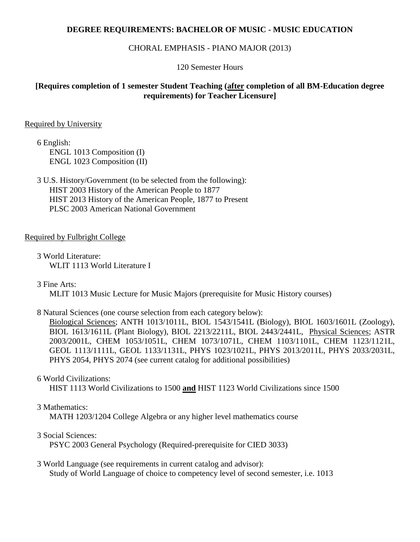## **DEGREE REQUIREMENTS: BACHELOR OF MUSIC - MUSIC EDUCATION**

## CHORAL EMPHASIS - PIANO MAJOR (2013)

120 Semester Hours

# **[Requires completion of 1 semester Student Teaching (after completion of all BM-Education degree requirements) for Teacher Licensure]**

## Required by University

6 English: ENGL 1013 Composition (I) ENGL 1023 Composition (II)

3 U.S. History/Government (to be selected from the following): HIST 2003 History of the American People to 1877 HIST 2013 History of the American People, 1877 to Present PLSC 2003 American National Government

## Required by Fulbright College

3 World Literature: WLIT 1113 World Literature I

3 Fine Arts:

MLIT 1013 Music Lecture for Music Majors (prerequisite for Music History courses)

8 Natural Sciences (one course selection from each category below):

Biological Sciences; ANTH 1013/1011L, BIOL 1543/1541L (Biology), BIOL 1603/1601L (Zoology), BIOL 1613/1611L (Plant Biology), BIOL 2213/2211L, BIOL 2443/2441L, Physical Sciences; ASTR 2003/2001L, CHEM 1053/1051L, CHEM 1073/1071L, CHEM 1103/1101L, CHEM 1123/1121L, GEOL 1113/1111L, GEOL 1133/1131L, PHYS 1023/1021L, PHYS 2013/2011L, PHYS 2033/2031L, PHYS 2054, PHYS 2074 (see current catalog for additional possibilities)

## 6 World Civilizations:

HIST 1113 World Civilizations to 1500 **and** HIST 1123 World Civilizations since 1500

## 3 Mathematics:

MATH 1203/1204 College Algebra or any higher level mathematics course

## 3 Social Sciences:

PSYC 2003 General Psychology (Required-prerequisite for CIED 3033)

3 World Language (see requirements in current catalog and advisor): Study of World Language of choice to competency level of second semester, i.e. 1013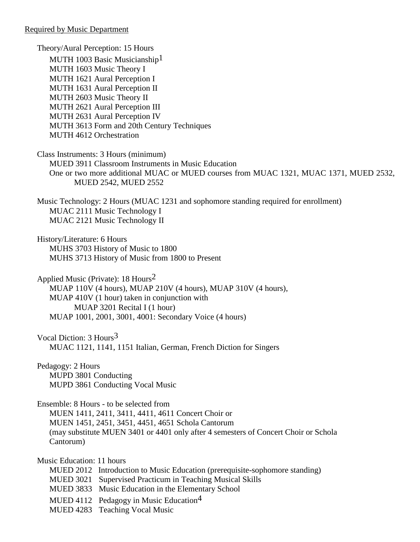Required by Music Department

Theory/Aural Perception: 15 Hours MUTH 1003 Basic Musicianship<sup>1</sup> MUTH 1603 Music Theory I MUTH 1621 Aural Perception I MUTH 1631 Aural Perception II MUTH 2603 Music Theory II MUTH 2621 Aural Perception III MUTH 2631 Aural Perception IV MUTH 3613 Form and 20th Century Techniques MUTH 4612 Orchestration

Class Instruments: 3 Hours (minimum) MUED 3911 Classroom Instruments in Music Education One or two more additional MUAC or MUED courses from MUAC 1321, MUAC 1371, MUED 2532, MUED 2542, MUED 2552

Music Technology: 2 Hours (MUAC 1231 and sophomore standing required for enrollment) MUAC 2111 Music Technology I MUAC 2121 Music Technology II

History/Literature: 6 Hours MUHS 3703 History of Music to 1800 MUHS 3713 History of Music from 1800 to Present

Applied Music (Private): 18 Hours2 MUAP 110V (4 hours), MUAP 210V (4 hours), MUAP 310V (4 hours), MUAP 410V (1 hour) taken in conjunction with MUAP 3201 Recital I (1 hour) MUAP 1001, 2001, 3001, 4001: Secondary Voice (4 hours)

Vocal Diction: 3 Hours3 MUAC 1121, 1141, 1151 Italian, German, French Diction for Singers

Pedagogy: 2 Hours MUPD 3801 Conducting MUPD 3861 Conducting Vocal Music

Ensemble: 8 Hours - to be selected from

MUEN 1411, 2411, 3411, 4411, 4611 Concert Choir or MUEN 1451, 2451, 3451, 4451, 4651 Schola Cantorum (may substitute MUEN 3401 or 4401 only after 4 semesters of Concert Choir or Schola Cantorum)

Music Education: 11 hours

- MUED 2012 Introduction to Music Education (prerequisite-sophomore standing)
- MUED 3021 Supervised Practicum in Teaching Musical Skills
- MUED 3833 Music Education in the Elementary School
- MUED 4112 Pedagogy in Music Education<sup>4</sup>
- MUED 4283 Teaching Vocal Music